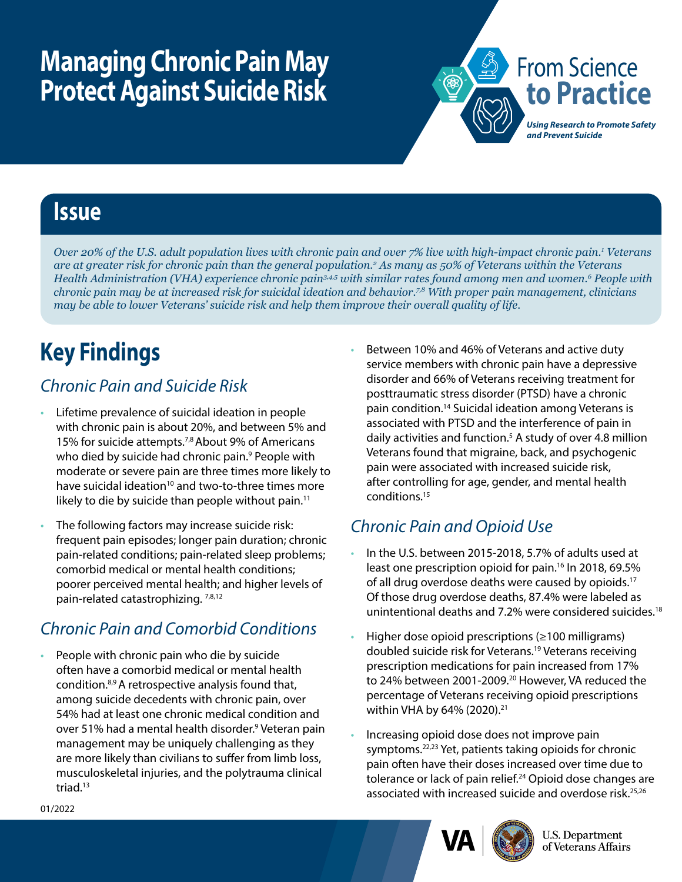# **Managing Chronic Pain May Protect Against Suicide Risk**



### **Issue**

*Over 20% of the U.S. adult population lives with chronic pain and over 7% live with high-impact chronic pain.1 Veterans are at greater risk for chronic pain than the general population.2 As many as 50% of Veterans within the Veterans Health Administration (VHA) experience chronic pain3,4,5 with similar rates found among men and women.6 People with chronic pain may be at increased risk for suicidal ideation and behavior.7,8 With proper pain management, clinicians may be able to lower Veterans' suicide risk and help them improve their overall quality of life.* 

## **Key Findings**

#### *Chronic Pain and Suicide Risk*

- Lifetime prevalence of suicidal ideation in people with chronic pain is about 20%, and between 5% and 15% for suicide attempts.7,8 About 9% of Americans who died by suicide had chronic pain.<sup>9</sup> People with moderate or severe pain are three times more likely to have suicidal ideation<sup>10</sup> and two-to-three times more likely to die by suicide than people without pain.<sup>11</sup>
- The following factors may increase suicide risk: frequent pain episodes; longer pain duration; chronic pain-related conditions; pain-related sleep problems; comorbid medical or mental health conditions; poorer perceived mental health; and higher levels of pain-related catastrophizing. 7,8,12

### *Chronic Pain and Comorbid Conditions*

• People with chronic pain who die by suicide often have a comorbid medical or mental health condition.8,9 A retrospective analysis found that, among suicide decedents with chronic pain, over 54% had at least one chronic medical condition and over 51% had a mental health disorder.<sup>9</sup> Veteran pain management may be uniquely challenging as they are more likely than civilians to suffer from limb loss, musculoskeletal injuries, and the polytrauma clinical triad. $13$ 

• Between 10% and 46% of Veterans and active duty service members with chronic pain have a depressive disorder and 66% of Veterans receiving treatment for posttraumatic stress disorder (PTSD) have a chronic pain condition.14 Suicidal ideation among Veterans is associated with PTSD and the interference of pain in daily activities and function.<sup>5</sup> A study of over 4.8 million Veterans found that migraine, back, and psychogenic pain were associated with increased suicide risk, after controlling for age, gender, and mental health conditions.15

### *Chronic Pain and Opioid Use*

- In the U.S. between 2015-2018, 5.7% of adults used at least one prescription opioid for pain.<sup>16</sup> In 2018, 69.5% of all drug overdose deaths were caused by opioids.17 Of those drug overdose deaths, 87.4% were labeled as unintentional deaths and 7.2% were considered suicides.18
- Higher dose opioid prescriptions  $(≥100$  milligrams) doubled suicide risk for Veterans.19 Veterans receiving prescription medications for pain increased from 17% to 24% between 2001-2009.<sup>20</sup> However, VA reduced the percentage of Veterans receiving opioid prescriptions within VHA by 64% (2020).<sup>21</sup>
- Increasing opioid dose does not improve pain symptoms.<sup>22,23</sup> Yet, patients taking opioids for chronic pain often have their doses increased over time due to tolerance or lack of pain relief.<sup>24</sup> Opioid dose changes are associated with increased suicide and overdose risk.<sup>25,26</sup>



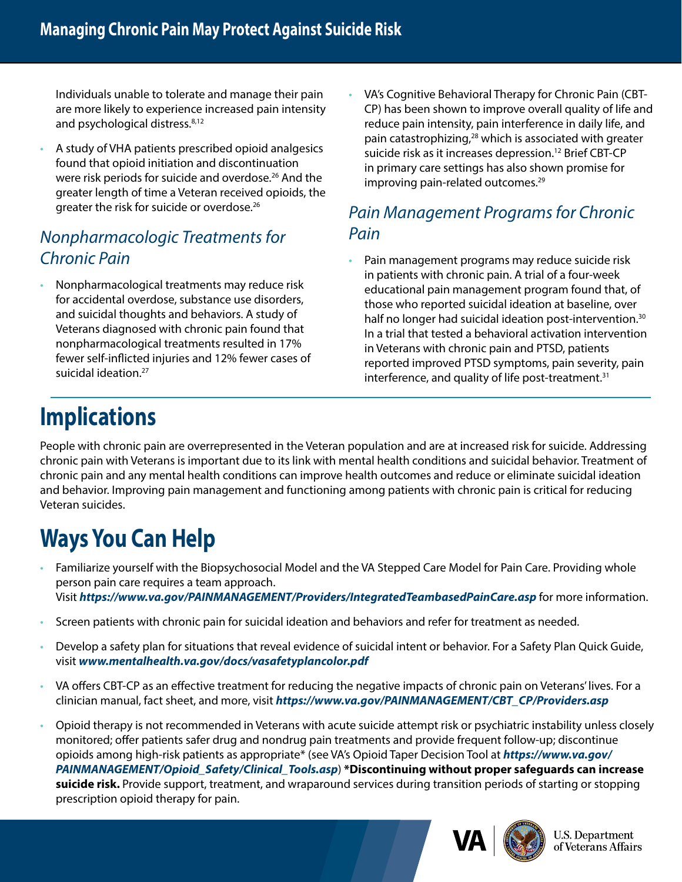Individuals unable to tolerate and manage their pain are more likely to experience increased pain intensity and psychological distress.<sup>8,12</sup>

• A study of VHA patients prescribed opioid analgesics found that opioid initiation and discontinuation were risk periods for suicide and overdose.<sup>26</sup> And the greater length of time a Veteran received opioids, the greater the risk for suicide or overdose.26

#### *Nonpharmacologic Treatments for Chronic Pain*

• Nonpharmacological treatments may reduce risk for accidental overdose, substance use disorders, and suicidal thoughts and behaviors. A study of Veterans diagnosed with chronic pain found that nonpharmacological treatments resulted in 17% fewer self-inflicted injuries and 12% fewer cases of suicidal ideation.<sup>27</sup>

• VA's Cognitive Behavioral Therapy for Chronic Pain (CBT-CP) has been shown to improve overall quality of life and reduce pain intensity, pain interference in daily life, and pain catastrophizing,28 which is associated with greater suicide risk as it increases depression.<sup>12</sup> Brief CBT-CP in primary care settings has also shown promise for improving pain-related outcomes.<sup>29</sup>

#### *Pain Management Programs for Chronic Pain*

• Pain management programs may reduce suicide risk in patients with chronic pain. A trial of a four-week educational pain management program found that, of those who reported suicidal ideation at baseline, over half no longer had suicidal ideation post-intervention.<sup>30</sup> In a trial that tested a behavioral activation intervention in Veterans with chronic pain and PTSD, patients reported improved PTSD symptoms, pain severity, pain interference, and quality of life post-treatment.<sup>31</sup>

### **Implications**

People with chronic pain are overrepresented in the Veteran population and are at increased risk for suicide. Addressing chronic pain with Veterans is important due to its link with mental health conditions and suicidal behavior. Treatment of chronic pain and any mental health conditions can improve health outcomes and reduce or eliminate suicidal ideation and behavior. Improving pain management and functioning among patients with chronic pain is critical for reducing Veteran suicides.

## **Ways You Can Help**

- Familiarize yourself with the Biopsychosocial Model and the VA Stepped Care Model for Pain Care. Providing whole person pain care requires a team approach. Visit *<https://www.va.gov/PAINMANAGEMENT/Providers/IntegratedTeambasedPainCare.asp>* for more information.
- Screen patients with chronic pain for suicidal ideation and behaviors and refer for treatment as needed.
- Develop a safety plan for situations that reveal evidence of suicidal intent or behavior. For a Safety Plan Quick Guide, visit *[www.mentalhealth.va.gov/docs/vasafetyplancolor.pdf](http://www.mentalhealth.va.gov/docs/vasafetyplancolor.pdf )*
- VA offers CBT-CP as an effective treatment for reducing the negative impacts of chronic pain on Veterans' lives. For a clinician manual, fact sheet, and more, visit *[https://www.va.gov/PAINMANAGEMENT/CBT\\_CP/Providers.asp](https://www.va.gov/PAINMANAGEMENT/CBT_CP/Providers.asp)*
- Opioid therapy is not recommended in Veterans with acute suicide attempt risk or psychiatric instability unless closely monitored; offer patients safer drug and nondrug pain treatments and provide frequent follow-up; discontinue opioids among high-risk patients as appropriate\* (see VA's Opioid Taper Decision Tool at *[https://www.va.gov/](https://www.va.gov/PAINMANAGEMENT/Opioid_Safety/Clinical_Tools.asp) [PAINMANAGEMENT/Opioid\\_Safety/Clinical\\_Tools.asp](https://www.va.gov/PAINMANAGEMENT/Opioid_Safety/Clinical_Tools.asp)*) **\*Discontinuing without proper safeguards can increase suicide risk.** Provide support, treatment, and wraparound services during transition periods of starting or stopping prescription opioid therapy for pain.